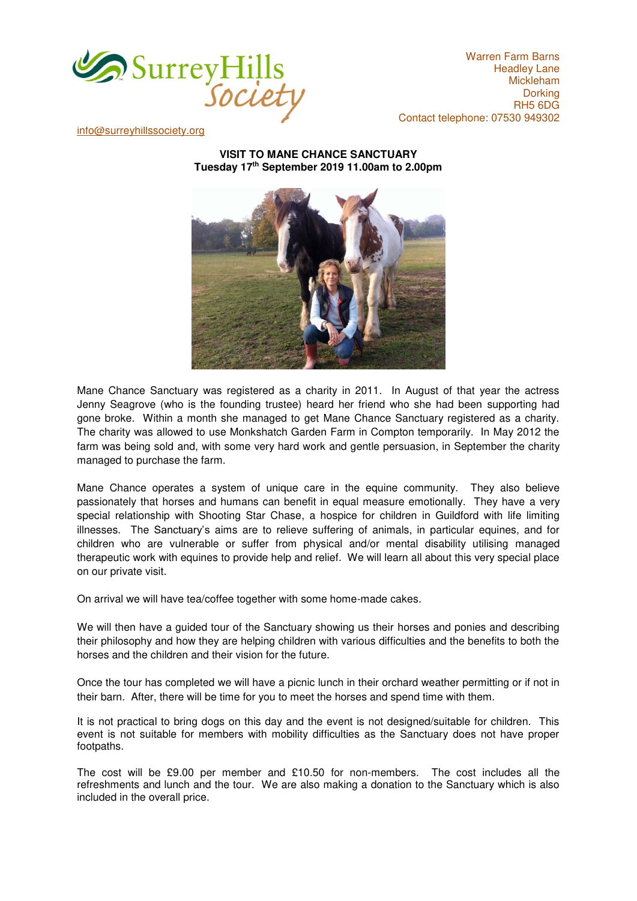

Warren Farm Barns Headley Lane Mickleham **Dorking** RH5 6DG Contact telephone: 07530 949302

[info@surreyhillssociety.org](mailto:chairman@surreyhillssociety.org)

**VISIT TO MANE CHANCE SANCTUARY Tuesday 17th September 2019 11.00am to 2.00pm** 



Mane Chance Sanctuary was registered as a charity in 2011. In August of that year the actress Jenny Seagrove (who is the founding trustee) heard her friend who she had been supporting had gone broke. Within a month she managed to get Mane Chance Sanctuary registered as a charity. The charity was allowed to use Monkshatch Garden Farm in Compton temporarily. In May 2012 the farm was being sold and, with some very hard work and gentle persuasion, in September the charity managed to purchase the farm.

Mane Chance operates a system of unique care in the equine community. They also believe passionately that horses and humans can benefit in equal measure emotionally. They have a very special relationship with Shooting Star Chase, a hospice for children in Guildford with life limiting illnesses. The Sanctuary's aims are to relieve suffering of animals, in particular equines, and for children who are vulnerable or suffer from physical and/or mental disability utilising managed therapeutic work with equines to provide help and relief. We will learn all about this very special place on our private visit.

On arrival we will have tea/coffee together with some home-made cakes.

We will then have a guided tour of the Sanctuary showing us their horses and ponies and describing their philosophy and how they are helping children with various difficulties and the benefits to both the horses and the children and their vision for the future.

Once the tour has completed we will have a picnic lunch in their orchard weather permitting or if not in their barn. After, there will be time for you to meet the horses and spend time with them.

It is not practical to bring dogs on this day and the event is not designed/suitable for children. This event is not suitable for members with mobility difficulties as the Sanctuary does not have proper footpaths.

The cost will be £9.00 per member and £10.50 for non-members. The cost includes all the refreshments and lunch and the tour. We are also making a donation to the Sanctuary which is also included in the overall price.